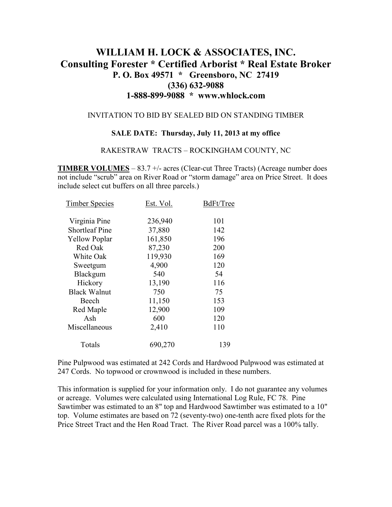# **WILLIAM H. LOCK & ASSOCIATES, INC. Consulting Forester \* Certified Arborist \* Real Estate Broker P. O. Box 49571 \* Greensboro, NC 27419 (336) 632-9088 1-888-899-9088 \* www.whlock.com**

#### INVITATION TO BID BY SEALED BID ON STANDING TIMBER

#### **SALE DATE: Thursday, July 11, 2013 at my office**

#### RAKESTRAW TRACTS – ROCKINGHAM COUNTY, NC

**TIMBER VOLUMES** – 83.7 +/- acres (Clear-cut Three Tracts) (Acreage number does not include "scrub" area on River Road or "storm damage" area on Price Street. It does include select cut buffers on all three parcels.)

| <b>Timber Species</b> | Est. Vol. | BdFt/Tree |
|-----------------------|-----------|-----------|
| Virginia Pine         | 236,940   | 101       |
| <b>Shortleaf Pine</b> | 37,880    | 142       |
| <b>Yellow Poplar</b>  | 161,850   | 196       |
| Red Oak               | 87,230    | 200       |
| White Oak             | 119,930   | 169       |
| Sweetgum              | 4,900     | 120       |
| Blackgum              | 540       | 54        |
| Hickory               | 13,190    | 116       |
| <b>Black Walnut</b>   | 750       | 75        |
| Beech                 | 11,150    | 153       |
| Red Maple             | 12,900    | 109       |
| Ash                   | 600       | 120       |
| Miscellaneous         | 2,410     | 110       |
| Totals                | 690,270   | 139       |
|                       |           |           |

Pine Pulpwood was estimated at 242 Cords and Hardwood Pulpwood was estimated at 247 Cords. No topwood or crownwood is included in these numbers.

This information is supplied for your information only. I do not guarantee any volumes or acreage. Volumes were calculated using International Log Rule, FC 78. Pine Sawtimber was estimated to an 8" top and Hardwood Sawtimber was estimated to a 10" top. Volume estimates are based on 72 (seventy-two) one-tenth acre fixed plots for the Price Street Tract and the Hen Road Tract. The River Road parcel was a 100% tally.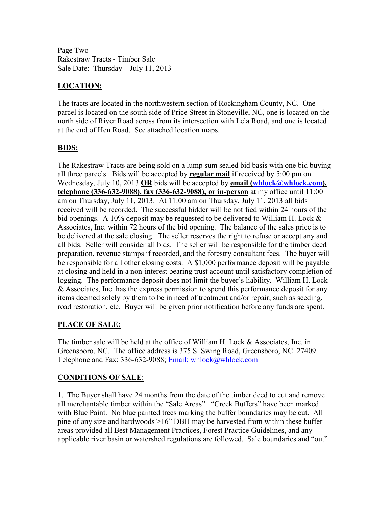Page Two Rakestraw Tracts - Timber Sale Sale Date: Thursday – July 11, 2013

## **LOCATION:**

The tracts are located in the northwestern section of Rockingham County, NC. One parcel is located on the south side of Price Street in Stoneville, NC, one is located on the north side of River Road across from its intersection with Lela Road, and one is located at the end of Hen Road. See attached location maps.

### **BIDS:**

The Rakestraw Tracts are being sold on a lump sum sealed bid basis with one bid buying all three parcels. Bids will be accepted by **regular mail** if received by 5:00 pm on Wednesday, July 10, 2013 OR bids will be accepted by **email** (whlock@whlock.com), **telephone (336-632-9088), fax (336-632-9088), or in-person** at my office until 11:00 am on Thursday, July 11, 2013. At 11:00 am on Thursday, July 11, 2013 all bids received will be recorded. The successful bidder will be notified within 24 hours of the bid openings. A 10% deposit may be requested to be delivered to William H. Lock & Associates, Inc. within 72 hours of the bid opening. The balance of the sales price is to be delivered at the sale closing. The seller reserves the right to refuse or accept any and all bids. Seller will consider all bids. The seller will be responsible for the timber deed preparation, revenue stamps if recorded, and the forestry consultant fees. The buyer will be responsible for all other closing costs. A \$1,000 performance deposit will be payable at closing and held in a non-interest bearing trust account until satisfactory completion of logging. The performance deposit does not limit the buyer's liability. William H. Lock & Associates, Inc. has the express permission to spend this performance deposit for any items deemed solely by them to be in need of treatment and/or repair, such as seeding, road restoration, etc. Buyer will be given prior notification before any funds are spent.

### **PLACE OF SALE:**

The timber sale will be held at the office of William H. Lock & Associates, Inc. in Greensboro, NC. The office address is 375 S. Swing Road, Greensboro, NC 27409. Telephone and Fax: 336-632-9088; Email: whlock@whlock.com

### **CONDITIONS OF SALE**:

1. The Buyer shall have 24 months from the date of the timber deed to cut and remove all merchantable timber within the "Sale Areas". "Creek Buffers" have been marked with Blue Paint. No blue painted trees marking the buffer boundaries may be cut. All pine of any size and hardwoods >16" DBH may be harvested from within these buffer areas provided all Best Management Practices, Forest Practice Guidelines, and any applicable river basin or watershed regulations are followed. Sale boundaries and "out"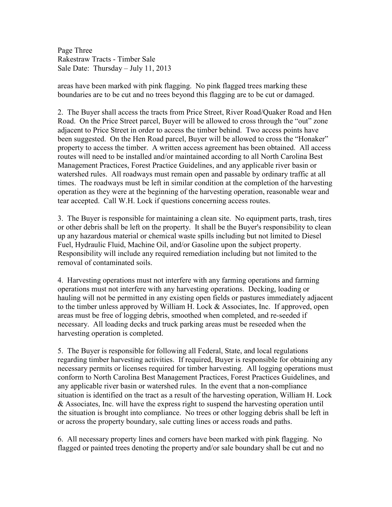Page Three Rakestraw Tracts - Timber Sale Sale Date: Thursday – July 11, 2013

areas have been marked with pink flagging. No pink flagged trees marking these boundaries are to be cut and no trees beyond this flagging are to be cut or damaged.

2. The Buyer shall access the tracts from Price Street, River Road/Quaker Road and Hen Road. On the Price Street parcel, Buyer will be allowed to cross through the "out" zone adjacent to Price Street in order to access the timber behind. Two access points have been suggested. On the Hen Road parcel, Buyer will be allowed to cross the "Honaker" property to access the timber. A written access agreement has been obtained. All access routes will need to be installed and/or maintained according to all North Carolina Best Management Practices, Forest Practice Guidelines, and any applicable river basin or watershed rules. All roadways must remain open and passable by ordinary traffic at all times. The roadways must be left in similar condition at the completion of the harvesting operation as they were at the beginning of the harvesting operation, reasonable wear and tear accepted. Call W.H. Lock if questions concerning access routes.

3. The Buyer is responsible for maintaining a clean site. No equipment parts, trash, tires or other debris shall be left on the property. It shall be the Buyer's responsibility to clean up any hazardous material or chemical waste spills including but not limited to Diesel Fuel, Hydraulic Fluid, Machine Oil, and/or Gasoline upon the subject property. Responsibility will include any required remediation including but not limited to the removal of contaminated soils.

4. Harvesting operations must not interfere with any farming operations and farming operations must not interfere with any harvesting operations. Decking, loading or hauling will not be permitted in any existing open fields or pastures immediately adjacent to the timber unless approved by William H. Lock & Associates, Inc. If approved, open areas must be free of logging debris, smoothed when completed, and re-seeded if necessary. All loading decks and truck parking areas must be reseeded when the harvesting operation is completed.

5. The Buyer is responsible for following all Federal, State, and local regulations regarding timber harvesting activities. If required, Buyer is responsible for obtaining any necessary permits or licenses required for timber harvesting. All logging operations must conform to North Carolina Best Management Practices, Forest Practices Guidelines, and any applicable river basin or watershed rules. In the event that a non-compliance situation is identified on the tract as a result of the harvesting operation, William H. Lock & Associates, Inc. will have the express right to suspend the harvesting operation until the situation is brought into compliance. No trees or other logging debris shall be left in or across the property boundary, sale cutting lines or access roads and paths.

6. All necessary property lines and corners have been marked with pink flagging. No flagged or painted trees denoting the property and/or sale boundary shall be cut and no